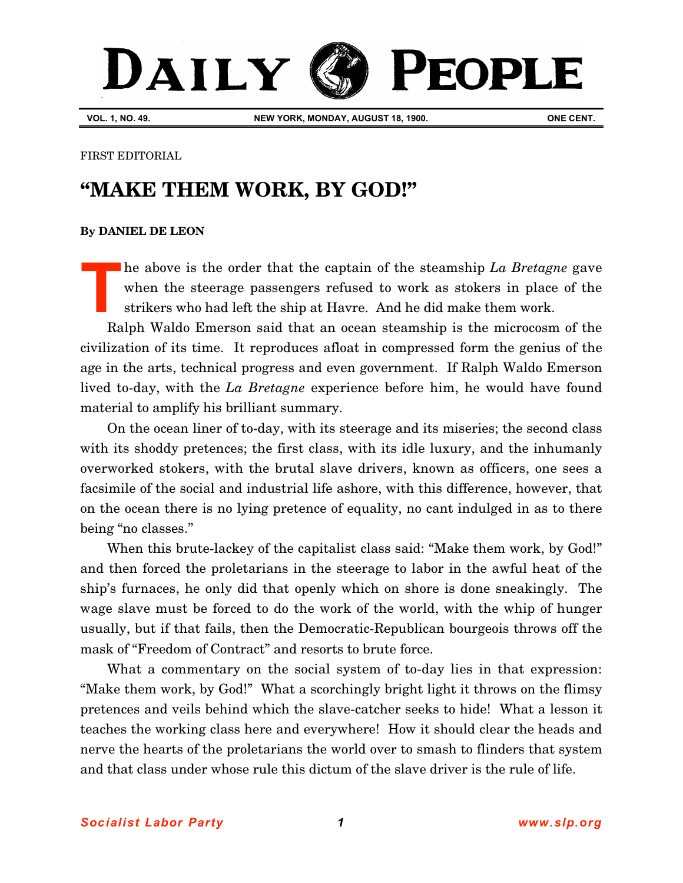## DAILY PEOPLE

**VOL. 1, NO. 49. NEW YORK, MONDAY, AUGUST 18, 1900. ONE CENT.**

FIRST EDITORIAL

## **"MAKE THEM WORK, BY GOD!"**

## **[By DANIEL DE LEON](http://www.slp.org/De_Leon.htm)**

he above is the order that the captain of the steamship *La Bretagne* gave when the steerage passengers refused to work as stokers in place of the strikers who had left the ship at Havre. And he did make them work. **T**

Ralph Waldo Emerson said that an ocean steamship is the microcosm of the civilization of its time. It reproduces afloat in compressed form the genius of the age in the arts, technical progress and even government. If Ralph Waldo Emerson lived to-day, with the *La Bretagne* experience before him, he would have found material to amplify his brilliant summary.

On the ocean liner of to-day, with its steerage and its miseries; the second class with its shoddy pretences; the first class, with its idle luxury, and the inhumanly overworked stokers, with the brutal slave drivers, known as officers, one sees a facsimile of the social and industrial life ashore, with this difference, however, that on the ocean there is no lying pretence of equality, no cant indulged in as to there being "no classes."

When this brute-lackey of the capitalist class said: "Make them work, by God!" and then forced the proletarians in the steerage to labor in the awful heat of the ship's furnaces, he only did that openly which on shore is done sneakingly. The wage slave must be forced to do the work of the world, with the whip of hunger usually, but if that fails, then the Democratic-Republican bourgeois throws off the mask of "Freedom of Contract" and resorts to brute force.

What a commentary on the social system of to-day lies in that expression: "Make them work, by God!" What a scorchingly bright light it throws on the flimsy pretences and veils behind which the slave-catcher seeks to hide! What a lesson it teaches the working class here and everywhere! How it should clear the heads and nerve the hearts of the proletarians the world over to smash to flinders that system and that class under whose rule this dictum of the slave driver is the rule of life.